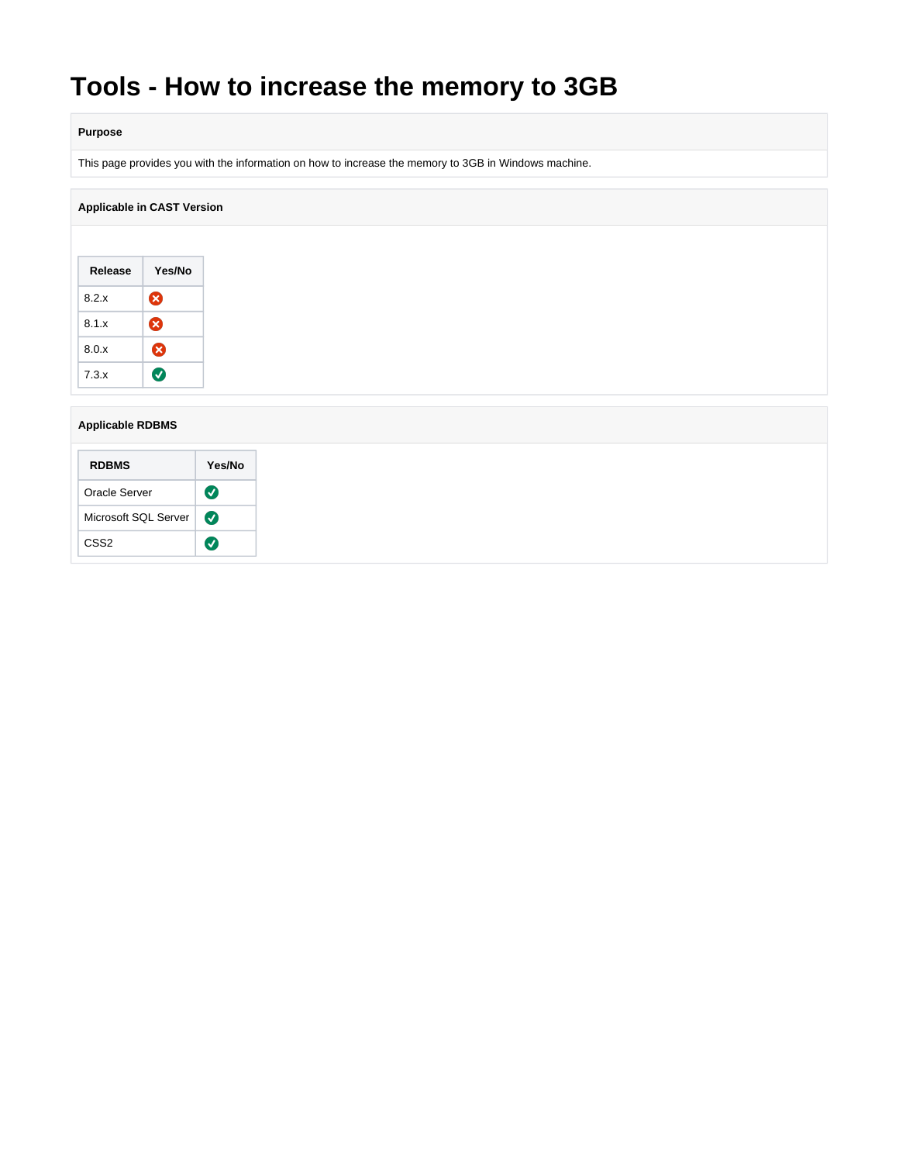# **Tools - How to increase the memory to 3GB**

### **Purpose**

This page provides you with the information on how to increase the memory to 3GB in Windows machine.

## **Applicable in CAST Version**

| Release | Yes/No |
|---------|--------|
| 8.2.x   | ☎      |
| 8.1x    | ☎      |
| 8.0.x   | ☎      |
| 7.3.x   |        |

#### **Applicable RDBMS**

| <b>RDBMS</b>         | Yes/No            |
|----------------------|-------------------|
| Oracle Server        | V                 |
| Microsoft SQL Server |                   |
| CSS <sub>2</sub>     | $\bm{\mathsf{v}}$ |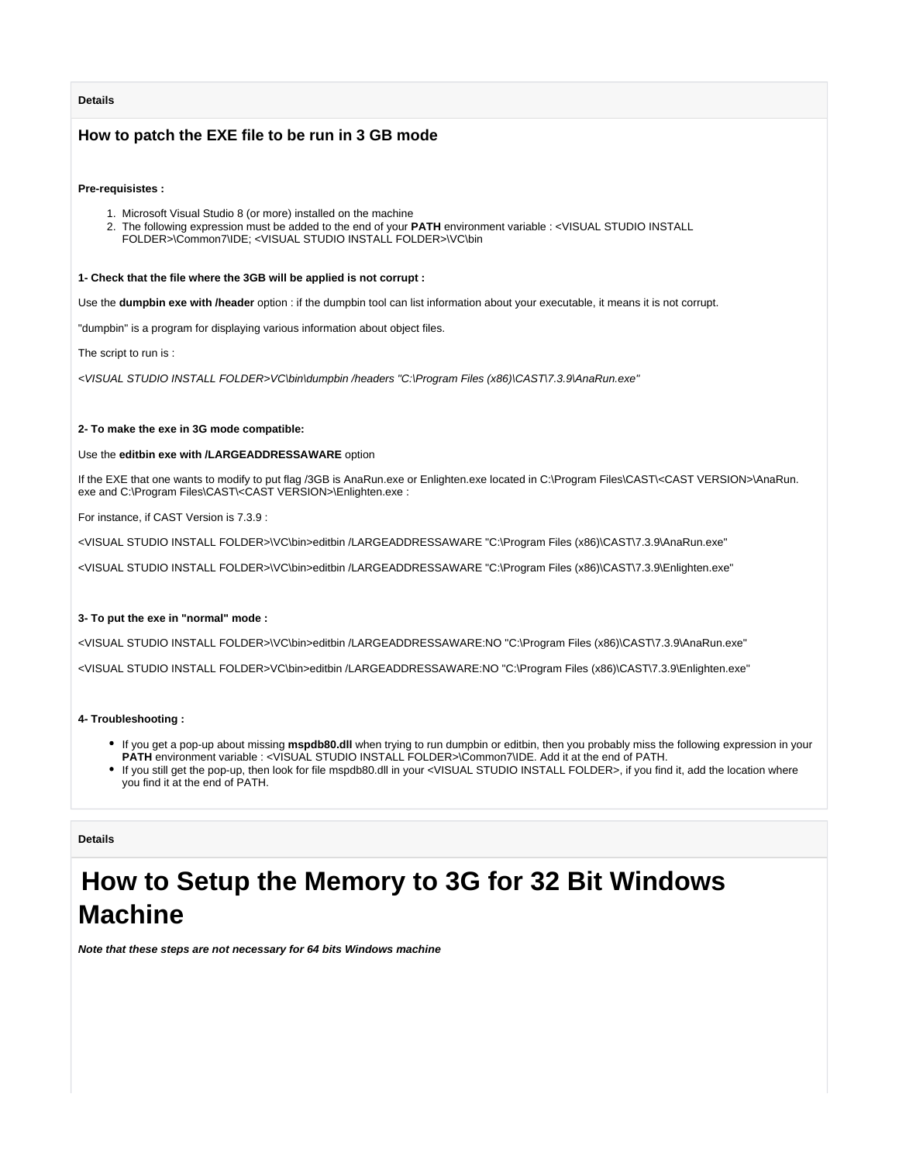#### **Details**

## **How to patch the EXE file to be run in 3 GB mode**

#### **Pre-requisistes :**

- 1. Microsoft Visual Studio 8 (or more) installed on the machine
- 2. The following expression must be added to the end of your **PATH** environment variable : <VISUAL STUDIO INSTALL FOLDER>\Common7\IDE; <VISUAL STUDIO INSTALL FOLDER>\VC\bin

#### **1- Check that the file where the 3GB will be applied is not corrupt :**

Use the **dumpbin exe with /header** option : if the dumpbin tool can list information about your executable, it means it is not corrupt.

"dumpbin" is a program for displaying various information about object files.

The script to run is :

<VISUAL STUDIO INSTALL FOLDER>VC\bin\dumpbin /headers "C:\Program Files (x86)\CAST\7.3.9\AnaRun.exe"

#### **2- To make the exe in 3G mode compatible:**

#### Use the **editbin exe with /LARGEADDRESSAWARE** option

If the EXE that one wants to modify to put flag /3GB is AnaRun.exe or Enlighten.exe located in C:\Program Files\CAST\<CAST VERSION>\AnaRun. exe and C:\Program Files\CAST\<CAST VERSION>\Enlighten.exe :

For instance, if CAST Version is 7.3.9 :

<VISUAL STUDIO INSTALL FOLDER>\VC\bin>editbin /LARGEADDRESSAWARE "C:\Program Files (x86)\CAST\7.3.9\AnaRun.exe"

<VISUAL STUDIO INSTALL FOLDER>\VC\bin>editbin /LARGEADDRESSAWARE "C:\Program Files (x86)\CAST\7.3.9\Enlighten.exe"

#### **3- To put the exe in "normal" mode :**

<VISUAL STUDIO INSTALL FOLDER>\VC\bin>editbin /LARGEADDRESSAWARE:NO "C:\Program Files (x86)\CAST\7.3.9\AnaRun.exe" <VISUAL STUDIO INSTALL FOLDER>VC\bin>editbin /LARGEADDRESSAWARE:NO "C:\Program Files (x86)\CAST\7.3.9\Enlighten.exe"

#### **4- Troubleshooting :**

- If you get a pop-up about missing **mspdb80.dll** when trying to run dumpbin or editbin, then you probably miss the following expression in your **PATH** environment variable : <VISUAL STUDIO INSTALL FOLDER>\Common7\IDE. Add it at the end of PATH.
- If you still get the pop-up, then look for file mspdb80.dll in your <VISUAL STUDIO INSTALL FOLDER>, if you find it, add the location where you find it at the end of PATH.

#### **Details**

## **How to Setup the Memory to 3G for 32 Bit Windows Machine**

**Note that these steps are not necessary for 64 bits Windows machine**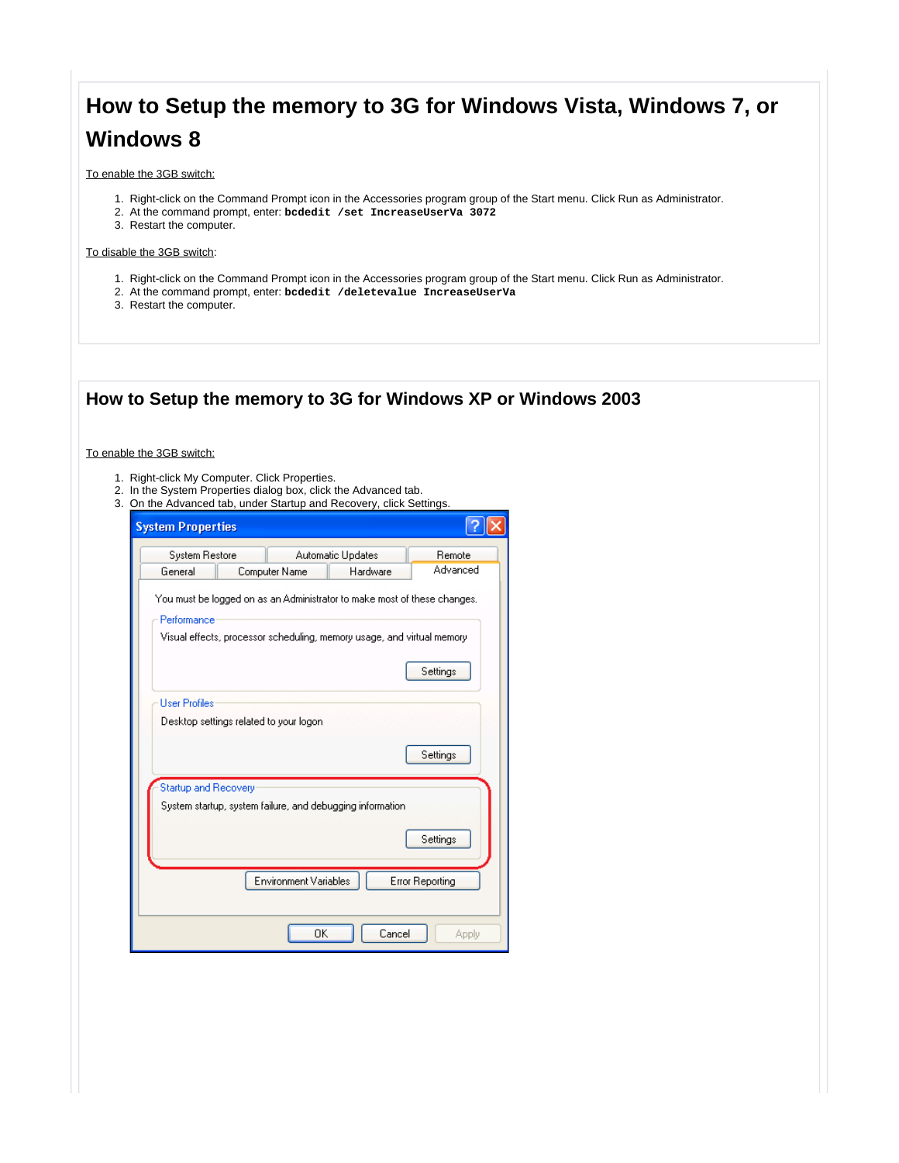## **How to Setup the memory to 3G for Windows Vista, Windows 7, or Windows 8**

To enable the 3GB switch:

- 1. Right-click on the Command Prompt icon in the Accessories program group of the Start menu. Click Run as Administrator.
- 2. At the command prompt, enter: **bcdedit /set IncreaseUserVa 3072**
- 3. Restart the computer.

#### To disable the 3GB switch:

- 1. Right-click on the Command Prompt icon in the Accessories program group of the Start menu. Click Run as Administrator.
- 2. At the command prompt, enter: **bcdedit /deletevalue IncreaseUserVa**
- 3. Restart the computer.

| 2. In the System Properties dialog box, click the Advanced tab.<br>3. On the Advanced tab, under Startup and Recovery, click Settings.<br><b>System Properties</b> |                        |
|--------------------------------------------------------------------------------------------------------------------------------------------------------------------|------------------------|
|                                                                                                                                                                    |                        |
| System Restore<br>Automatic Updates<br>General<br>Computer Name<br>Hardware                                                                                        | Remote<br>Advanced     |
| <b>User Profiles</b><br>Desktop settings related to your logon                                                                                                     | Settings               |
|                                                                                                                                                                    | Settings               |
| Startup and Recovery<br>System startup, system failure, and debugging information.                                                                                 | Settings               |
| Environment Variables                                                                                                                                              | <b>Error Reporting</b> |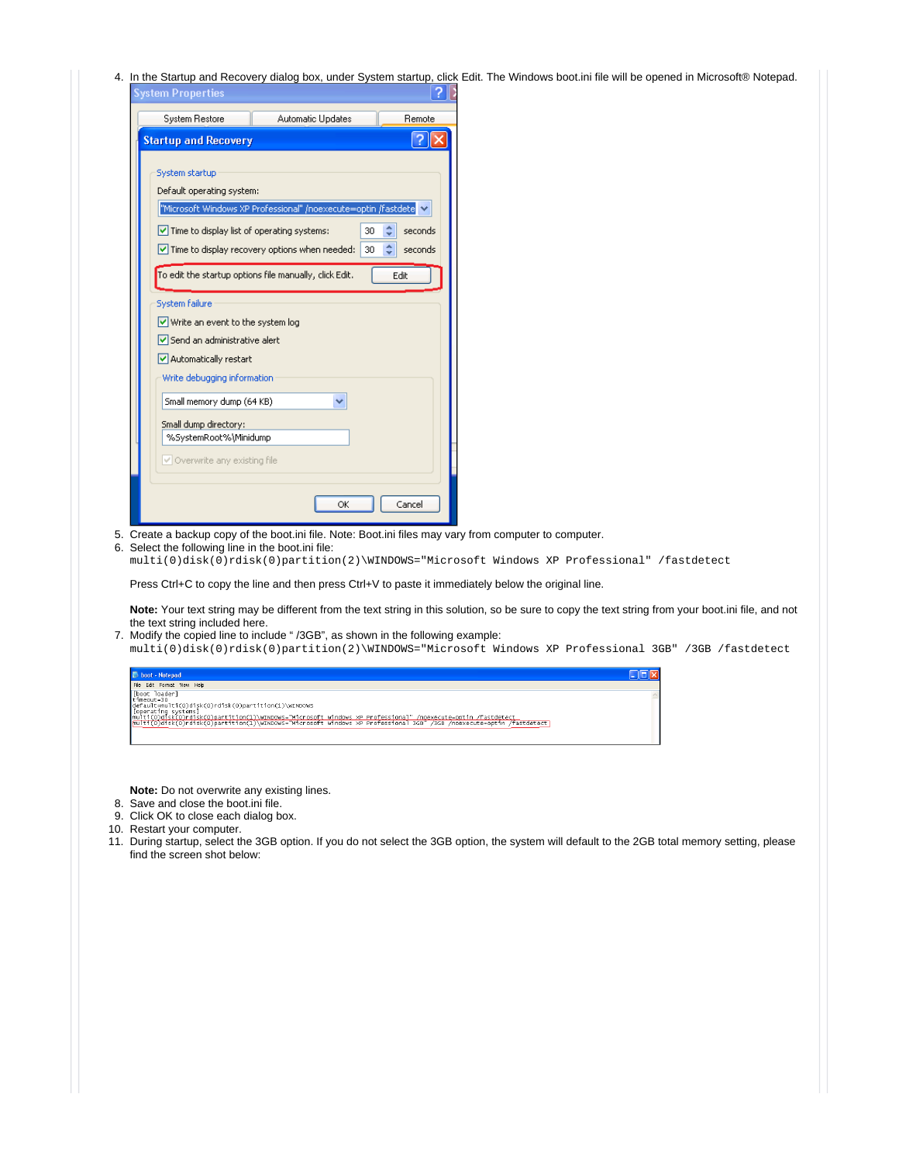4. In the Startup and Recovery dialog box, under System startup, click Edit. The Windows boot.ini file will be opened in Microsoft® Notepad.

| <b>System Properties</b>                          |                                                                |                    |
|---------------------------------------------------|----------------------------------------------------------------|--------------------|
| System Restore                                    | Automatic Updates                                              | Remote             |
| <b>Startup and Recovery</b>                       |                                                                |                    |
| System startup<br>Default operating system:       |                                                                |                    |
|                                                   | "Microsoft Windows XP Professional" /noexecute=optin /fastdete |                    |
| $\vee$ Time to display list of operating systems: |                                                                | 30<br>seconds      |
|                                                   | $\vee$ Time to display recovery options when needed:           | ĉ<br>seconds<br>30 |
|                                                   | To edit the startup options file manually, click Edit.         | Edit               |
| <b>System failure</b>                             |                                                                |                    |
| Write an event to the system log                  |                                                                |                    |
| Send an administrative alert                      |                                                                |                    |
| Automatically restart                             |                                                                |                    |
| Write debugging information                       |                                                                |                    |
| Small memory dump (64 KB)                         |                                                                |                    |
| Small dump directory:                             |                                                                |                    |
| %SystemRoot%\Minidump                             |                                                                |                    |
| V Overwrite any existing file                     |                                                                |                    |
|                                                   | OK                                                             | Cancel             |

- 5. Create a backup copy of the boot.ini file. Note: Boot.ini files may vary from computer to computer.
- 6. Select the following line in the boot.ini file:

multi(0)disk(0)rdisk(0)partition(2)\WINDOWS="Microsoft Windows XP Professional" /fastdetect

Press Ctrl+C to copy the line and then press Ctrl+V to paste it immediately below the original line.

Note: Your text string may be different from the text string in this solution, so be sure to copy the text string from your boot.ini file, and not the text string included here.

7. Modify the copied line to include " /3GB", as shown in the following example: multi(0)disk(0)rdisk(0)partition(2)\WINDOWS="Microsoft Windows XP Professional 3GB" /3GB /fastdetect



**Note:** Do not overwrite any existing lines.

- 8. Save and close the boot.ini file.
- 9. Click OK to close each dialog box.
- 10. Restart your computer.
- 11. During startup, select the 3GB option. If you do not select the 3GB option, the system will default to the 2GB total memory setting, please find the screen shot below: